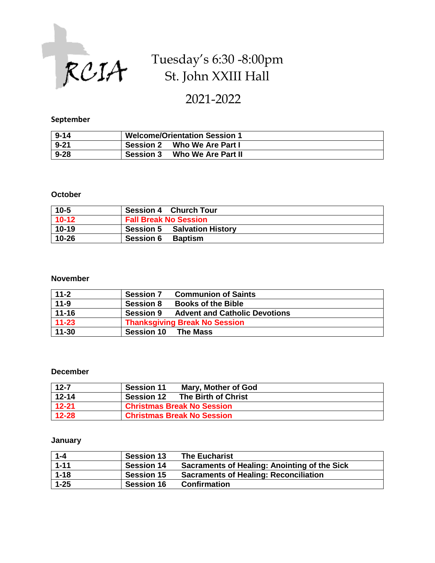

# Tuesday's 6:30 -8:00pm St. John XXIII Hall

2021-2022

#### **September**

| $9 - 14$ | <b>Welcome/Orientation Session 1</b>   |  |
|----------|----------------------------------------|--|
| $9 - 21$ | Who We Are Part I<br><b>Session 2</b>  |  |
| $9 - 28$ | Who We Are Part II<br><b>Session 3</b> |  |

#### **October**

| $10 - 5$ | <b>Session 4 Church Tour</b>       |  |
|----------|------------------------------------|--|
| $10-12$  | <b>Fall Break No Session</b>       |  |
| $10-19$  | <b>Session 5 Salvation History</b> |  |
| 10-26    | <b>Session 6</b><br><b>Baptism</b> |  |

#### **November**

| $11 - 2$  | <b>Communion of Saints</b><br><b>Session 7</b>           |
|-----------|----------------------------------------------------------|
| $11-9$    | <b>Books of the Bible</b><br><b>Session 8</b>            |
| $11 - 16$ | <b>Advent and Catholic Devotions</b><br><b>Session 9</b> |
| $11 - 23$ | <b>Thanksgiving Break No Session</b>                     |
| $11 - 30$ | <b>Session 10</b><br><b>The Mass</b>                     |

#### **December**

| $12 - 7$  | <b>Session 11</b><br>Mary, Mother of God |
|-----------|------------------------------------------|
| $12 - 14$ | <b>Session 12</b><br>The Birth of Christ |
| $12 - 21$ | <b>Christmas Break No Session</b>        |
| $12 - 28$ | <b>Christmas Break No Session</b>        |

#### **January**

| $1 - 4$  | <b>Session 13</b> | <b>The Eucharist</b>                                |
|----------|-------------------|-----------------------------------------------------|
| $1 - 11$ | <b>Session 14</b> | <b>Sacraments of Healing: Anointing of the Sick</b> |
| $1 - 18$ | <b>Session 15</b> | <b>Sacraments of Healing: Reconciliation</b>        |
| $1 - 25$ | <b>Session 16</b> | <b>Confirmation</b>                                 |